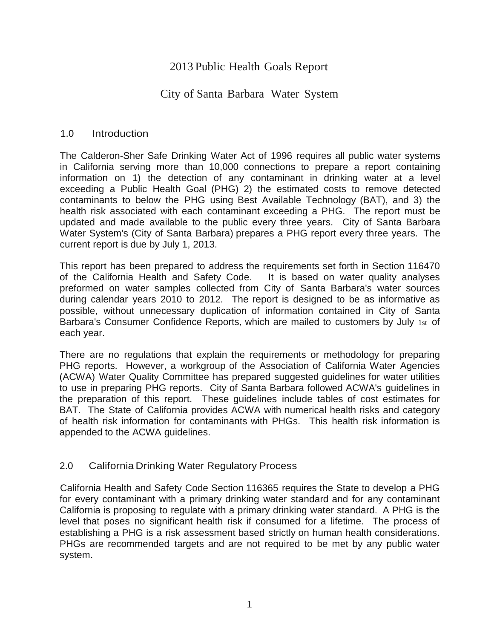# 2013 Public Health Goals Report

# City of Santa Barbara Water System

# 1.0 Introduction

The Calderon-Sher Safe Drinking Water Act of 1996 requires all public water systems in California serving more than 10,000 connections to prepare a report containing information on 1) the detection of any contaminant in drinking water at a level exceeding a Public Health Goal (PHG) 2) the estimated costs to remove detected contaminants to below the PHG using Best Available Technology (BAT), and 3) the health risk associated with each contaminant exceeding a PHG. The report must be updated and made available to the public every three years. City of Santa Barbara Water System's (City of Santa Barbara) prepares a PHG report every three years. The current report is due by July 1, 2013.

This report has been prepared to address the requirements set forth in Section 116470 of the California Health and Safety Code. It is based on water quality analyses preformed on water samples collected from City of Santa Barbara's water sources during calendar years 2010 to 2012. The report is designed to be as informative as possible, without unnecessary duplication of information contained in City of Santa Barbara's Consumer Confidence Reports, which are mailed to customers by July 1st of each year.

There are no regulations that explain the requirements or methodology for preparing PHG reports. However, a workgroup of the Association of California Water Agencies (ACWA) Water Quality Committee has prepared suggested guidelines for water utilities to use in preparing PHG reports. City of Santa Barbara followed ACWA's guidelines in the preparation of this report. These guidelines include tables of cost estimates for BAT. The State of California provides ACWA with numerical health risks and category of health risk information for contaminants with PHGs. This health risk information is appended to the ACWA guidelines.

# 2.0 California Drinking Water Regulatory Process

California Health and Safety Code Section 116365 requires the State to develop a PHG for every contaminant with a primary drinking water standard and for any contaminant California is proposing to regulate with a primary drinking water standard. A PHG is the level that poses no significant health risk if consumed for a lifetime. The process of establishing a PHG is a risk assessment based strictly on human health considerations. PHGs are recommended targets and are not required to be met by any public water system.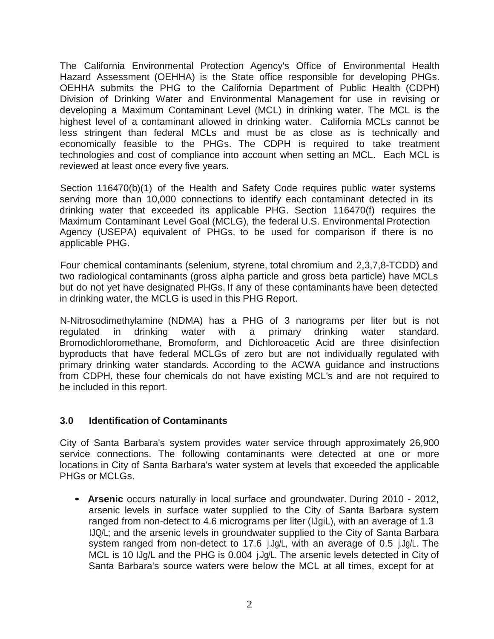The California Environmental Protection Agency's Office of Environmental Health Hazard Assessment (OEHHA) is the State office responsible for developing PHGs. OEHHA submits the PHG to the California Department of Public Health (CDPH) Division of Drinking Water and Environmental Management for use in revising or developing a Maximum Contaminant Level (MCL) in drinking water. The MCL is the highest level of a contaminant allowed in drinking water. California MCLs cannot be less stringent than federal MCLs and must be as close as is technically and economically feasible to the PHGs. The CDPH is required to take treatment technologies and cost of compliance into account when setting an MCL. Each MCL is reviewed at least once every five years.

Section 116470(b)(1) of the Health and Safety Code requires public water systems serving more than 10,000 connections to identify each contaminant detected in its drinking water that exceeded its applicable PHG. Section 116470(f) requires the Maximum Contaminant Level Goal (MCLG), the federal U.S. Environmental Protection Agency (USEPA) equivalent of PHGs, to be used for comparison if there is no applicable PHG.

Four chemical contaminants (selenium, styrene, total chromium and 2,3,7,8-TCDD) and two radiological contaminants (gross alpha particle and gross beta particle) have MCLs but do not yet have designated PHGs. If any of these contaminants have been detected in drinking water, the MCLG is used in this PHG Report.

N-Nitrosodimethylamine (NDMA) has a PHG of 3 nanograms per liter but is not regulated in drinking water with a primary drinking water standard. Bromodichloromethane, Bromoform, and Dichloroacetic Acid are three disinfection byproducts that have federal MCLGs of zero but are not individually regulated with primary drinking water standards. According to the ACWA guidance and instructions from CDPH, these four chemicals do not have existing MCL's and are not required to be included in this report.

### **3.0 Identification of Contaminants**

City of Santa Barbara's system provides water service through approximately 26,900 service connections. The following contaminants were detected at one or more locations in City of Santa Barbara's water system at levels that exceeded the applicable PHGs or MCLGs.

• **Arsenic** occurs naturally in local surface and groundwater. During <sup>2010</sup> - 2012, arsenic levels in surface water supplied to the City . of Santa Barbara system ranged from non-detect to 4.6 micrograms per liter (IJgiL), with an average of 1.3 IJQ/L; and the arsenic levels in groundwater supplied to the City of Santa Barbara system ranged from non-detect to 17.6 j.Jg/L, with an average of 0.5 j.Jg/L. The MCL is 10 IJg/L and the PHG is 0.004 j.Jg/L. The arsenic levels detected in City of Santa Barbara's source waters were below the MCL at all times, except for at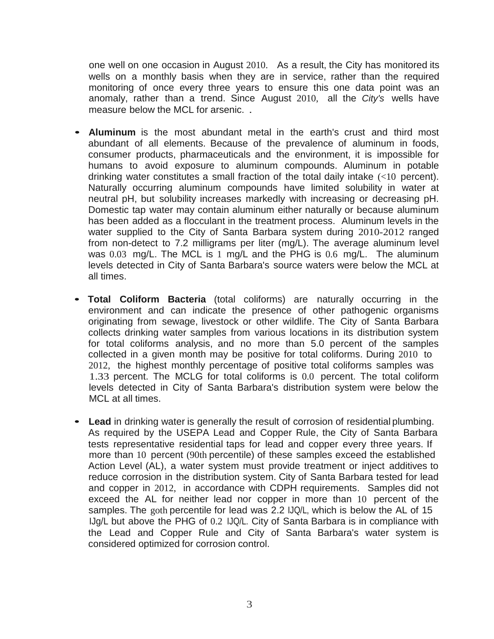one well on one occasion in August 2010. As a result, the City has monitored its wells on a monthly basis when they are in service, rather than the required monitoring of once every three years to ensure this one data point was an anomaly, rather than a trend. Since August 2010, all the *City's* wells have measure below the MCL for arsenic.

- **Aluminum** is the most abundant metal in the earth's crust and third most abundant of all elements. Because of the prevalence of aluminum in foods, consumer products, pharmaceuticals and the environment, it is impossible for humans to avoid exposure to aluminum compounds. Aluminum in potable drinking water constitutes a small fraction of the total daily intake (<10 percent). Naturally occurring aluminum compounds have limited solubility in water at neutral pH, but solubility increases markedly with increasing or decreasing pH. Domestic tap water may contain aluminum either naturally or because aluminum has been added as a flocculant in the treatment process. Aluminum levels in the water supplied to the City of Santa Barbara system during 2010-2012 ranged from non-detect to 7.2 milligrams per liter (mg/L). The average aluminum level was 0.03 mg/L. The MCL is 1 mg/L and the PHG is 0.6 mg/L. The aluminum levels detected in City of Santa Barbara's source waters were below the MCL at all times.
- **Total Coliform Bacteria** (total coliforms) are naturally occurring in the environment and can indicate the presence of other pathogenic organisms originating from sewage, livestock or other wildlife. The City of Santa Barbara collects drinking water samples from various locations in its distribution system for total coliforms analysis, and no more than 5.0 percent of the samples collected in a given month may be positive for total coliforms. During 2010 to 2012, the highest monthly percentage of positive total coliforms samples was 1.33 percent. The MCLG for total coliforms is 0.0 percent. The total coliform levels detected in City of Santa Barbara's distribution system were below the MCL at all times.
- **Lead** in drinking water is generally the result of corrosion of residential plumbing. As required by the USEPA Lead and Copper Rule, the City of Santa Barbara tests representative residential taps for lead and copper every three years. If more than 10 percent (90th percentile) of these samples exceed the established Action Level (AL), a water system must provide treatment or inject additives to reduce corrosion in the distribution system. City of Santa Barbara tested for lead and copper in 2012, in accordance with CDPH requirements. Samples did not exceed the AL for neither lead nor copper in more than 10 percent of the samples. The goth percentile for lead was 2.2 IJQ/L, which is below the AL of 15 IJg/L but above the PHG of 0.2 IJQ/L. City of Santa Barbara is in compliance with the Lead and Copper Rule and City of Santa Barbara's water system is considered optimized for corrosion control.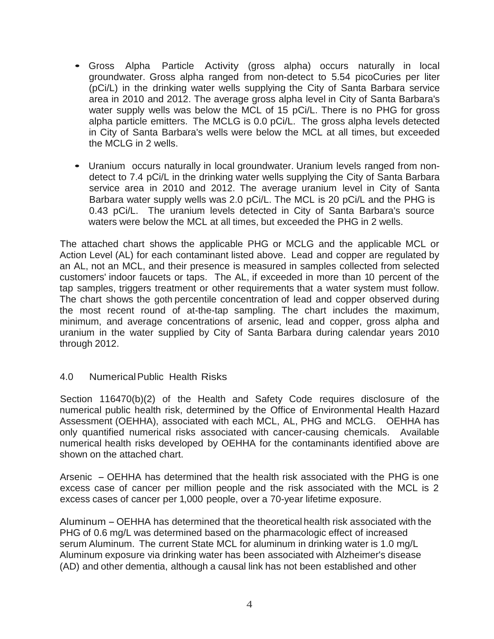- Gross Alpha Particle Activity (gross alpha) occurs naturally in local groundwater. Gross alpha ranged from non-detect to 5.54 picoCuries per liter (pCi/L) in the drinking water wells supplying the City of Santa Barbara service area in 2010 and 2012. The average gross alpha level in City of Santa Barbara's water supply wells was below the MCL of 15 pCi/L. There is no PHG for gross alpha particle emitters. The MCLG is 0.0 pCi/L. The gross alpha levels detected in City of Santa Barbara's wells were below the MCL at all times, but exceeded the MCLG in 2 wells.
- Uranium occurs naturally in local groundwater. Uranium levels ranged from nondetect to 7.4 pCi/L in the drinking water wells supplying the City of Santa Barbara service area in 2010 and 2012. The average uranium level in City of Santa Barbara water supply wells was 2.0 pCi/L. The MCL is 20 pCi/L and the PHG is 0.43 pCi/L. The uranium levels detected in City of Santa Barbara's source waters were below the MCL at all times, but exceeded the PHG in 2 wells.

The attached chart shows the applicable PHG or MCLG and the applicable MCL or Action Level (AL) for each contaminant listed above. Lead and copper are regulated by an AL, not an MCL, and their presence is measured in samples collected from selected customers' indoor faucets or taps. The AL, if exceeded in more than 10 percent of the tap samples, triggers treatment or other requirements that a water system must follow. The chart shows the goth percentile concentration of lead and copper observed during the most recent round of at-the-tap sampling. The chart includes the maximum, minimum, and average concentrations of arsenic, lead and copper, gross alpha and uranium in the water supplied by City of Santa Barbara during calendar years 2010 through 2012.

# 4.0 NumericalPublic Health Risks

Section 116470(b)(2) of the Health and Safety Code requires disclosure of the numerical public health risk, determined by the Office of Environmental Health Hazard Assessment (OEHHA), associated with each MCL, AL, PHG and MCLG. OEHHA has only quantified numerical risks associated with cancer-causing chemicals. Available numerical health risks developed by OEHHA for the contaminants identified above are shown on the attached chart.

Arsenic - OEHHA has determined that the health risk associated with the PHG is one excess case of cancer per million people and the risk associated with the MCL is 2 excess cases of cancer per 1,000 people, over a 70-year lifetime exposure.

Aluminum -OEHHA has determined that the theoretical health risk associated with the PHG of 0.6 mg/L was determined based on the pharmacologic effect of increased serum Aluminum. The current State MCL for aluminum in drinking water is 1.0 mg/L Aluminum exposure via drinking water has been associated with Alzheimer's disease (AD) and other dementia, although a causal link has not been established and other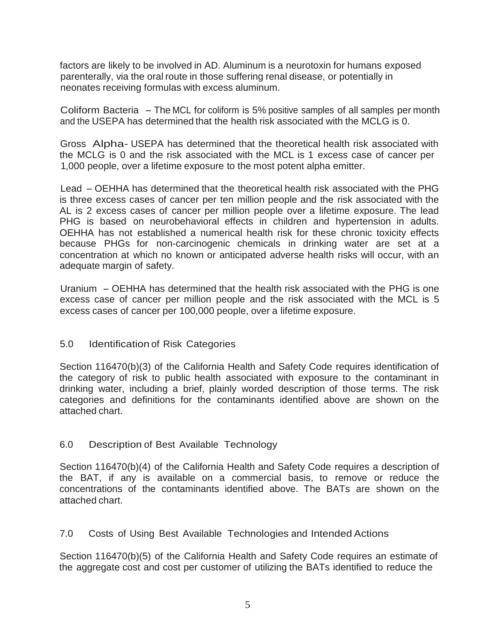factors are likely to be involved in AD. Aluminum is a neurotoxin for humans exposed parenterally, via the oral route in those suffering renal disease, or potentially in neonates receiving formulas with excess aluminum.

Coliform Bacteria - The MCL for coliform is 5% positive samples of all samples per month and the USEPA has determined that the health risk associated with the MCLG is 0.

Gross Alpha- USEPA has determined that the theoretical health risk associated with the MCLG is 0 and the risk associated with the MCL is 1 excess case of cancer per 1,000 people, over a lifetime exposure to the most potent alpha emitter.

Lead -OEHHA has determined that the theoretical health risk associated with the PHG is three excess cases of cancer per ten million people and the risk associated with the AL is 2 excess cases of cancer per million people over a lifetime exposure. The lead PHG is based on neurobehavioral effects in children and hypertension in adults. OEHHA has not established a numerical health risk for these chronic toxicity effects because PHGs for non-carcinogenic chemicals in drinking water are set at a concentration at which no known or anticipated adverse health risks will occur, with an adequate margin of safety.

Uranium - OEHHA has determined that the health risk associated with the PHG is one excess case of cancer per million people and the risk associated with the MCL is 5 excess cases of cancer per 100,000 people, over a lifetime exposure.

### 5.0 Identification of Risk Categories

Section 116470(b)(3) of the California Health and Safety Code requires identification of the category of risk to public health associated with exposure to the contaminant in drinking water, including a brief, plainly worded description of those terms. The risk categories and definitions for the contaminants identified above are shown on the attached chart.

# 6.0 Description of Best Available Technology

Section 116470(b)(4) of the California Health and Safety Code requires a description of the BAT, if any is available on a commercial basis, to remove or reduce the concentrations of the contaminants identified above. The BATs are shown on the attached chart.

### 7.0 Costs of Using Best Available Technologies and Intended Actions

Section 116470(b)(5) of the California Health and Safety Code requires an estimate of the aggregate cost and cost per customer of utilizing the BATs identified to reduce the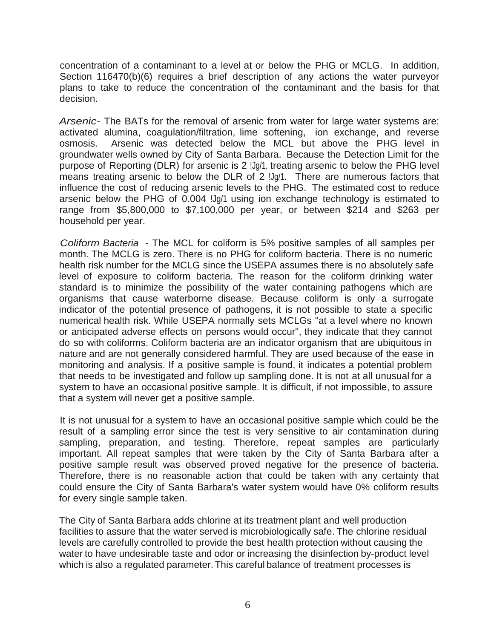concentration of a contaminant to a level at or below the PHG or MCLG. In addition, Section 116470(b)(6) requires a brief description of any actions the water purveyor plans to take to reduce the concentration of the contaminant and the basis for that decision.

*Arsenic-* The BATs for the removal of arsenic from water for large water systems are: activated alumina, coagulation/filtration, lime softening, ion exchange, and reverse osmosis. Arsenic was detected below the MCL but above the PHG level in groundwater wells owned by City of Santa Barbara. Because the Detection Limit for the purpose of Reporting (DLR) for arsenic is 2 !Jg/1, treating arsenic to below the PHG level means treating arsenic to below the DLR of 2 !Jg/1. There are numerous factors that influence the cost of reducing arsenic levels to the PHG. The estimated cost to reduce arsenic below the PHG of 0.004 !Jg/1 using ion exchange technology is estimated to range from \$5,800,000 to \$7,100,000 per year, or between \$214 and \$263 per household per year.

*Coliform Bacteria* - The MCL for coliform is 5% positive samples of all samples per month. The MCLG is zero. There is no PHG for coliform bacteria. There is no numeric health risk number for the MCLG since the USEPA assumes there is no absolutely safe level of exposure to coliform bacteria. The reason for the coliform drinking water standard is to minimize the possibility of the water containing pathogens which are organisms that cause waterborne disease. Because coliform is only a surrogate indicator of the potential presence of pathogens, it is not possible to state a specific numerical health risk. While USEPA normally sets MCLGs "at a level where no known or anticipated adverse effects on persons would occur", they indicate that they cannot do so with coliforms. Coliform bacteria are an indicator organism that are ubiquitous in nature and are not generally considered harmful. They are used because of the ease in monitoring and analysis. If a positive sample is found, it indicates a potential problem that needs to be investigated and follow up sampling done. It is not at all unusual for a system to have an occasional positive sample. It is difficult, if not impossible, to assure that a system will never get a positive sample.

It is not unusual for a system to have an occasional positive sample which could be the result of a sampling error since the test is very sensitive to air contamination during sampling, preparation, and testing. Therefore, repeat samples are particularly important. All repeat samples that were taken by the City of Santa Barbara after a positive sample result was observed proved negative for the presence of bacteria. Therefore, there is no reasonable action that could be taken with any certainty that could ensure the City of Santa Barbara's water system would have 0% coliform results for every single sample taken.

The City of Santa Barbara adds chlorine at its treatment plant and well production facilities to assure that the water served is microbiologically safe. The chlorine residual levels are carefully controlled to provide the best health protection without causing the water to have undesirable taste and odor or increasing the disinfection by-product level which is also a regulated parameter. This careful balance of treatment processes is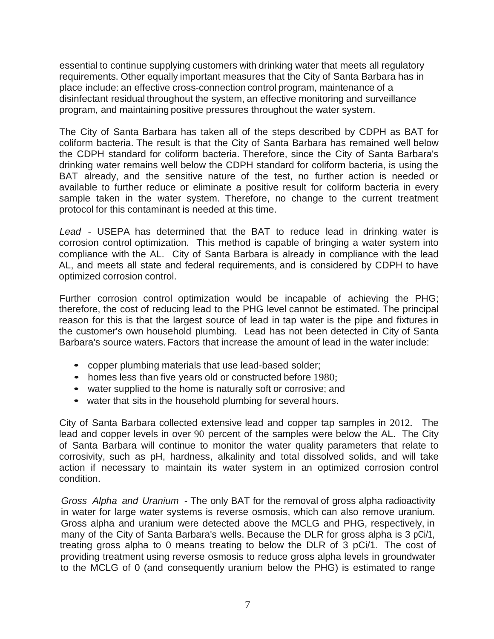essential to continue supplying customers with drinking water that meets all regulatory requirements. Other equally important measures that the City of Santa Barbara has in place include: an effective cross-connection control program, maintenance of a disinfectant residual throughout the system, an effective monitoring and surveillance program, and maintaining positive pressures throughout the water system.

The City of Santa Barbara has taken all of the steps described by CDPH as BAT for coliform bacteria. The result is that the City of Santa Barbara has remained well below the CDPH standard for coliform bacteria. Therefore, since the City of Santa Barbara's drinking water remains well below the CDPH standard for coliform bacteria, is using the BAT already, and the sensitive nature of the test, no further action is needed or available to further reduce or eliminate a positive result for coliform bacteria in every sample taken in the water system. Therefore, no change to the current treatment protocol for this contaminant is needed at this time.

*Lead* - USEPA has determined that the BAT to reduce lead in drinking. water is corrosion control optimization. This method is capable of bringing a water system into compliance with the AL. City of Santa Barbara is already in compliance with the lead AL, and meets all state and federal requirements, and is considered by CDPH to have optimized corrosion control.

Further corrosion control optimization would be incapable of achieving the PHG; therefore, the cost of reducing lead to the PHG level cannot be estimated. The principal reason for this is that the largest source of lead in tap water is the pipe and fixtures in the customer's own household plumbing. Lead has not been detected in City of Santa Barbara's source waters. Factors that increase the amount of lead in the water include:

- copper plumbing materials that use lead-based solder;
- homes less than five years old or constructed before 1980;
- water supplied to the home is naturally soft or corrosive; and
- water that sits in the household plumbing for several hours.

City of Santa Barbara collected extensive lead and copper tap samples in 2012. The lead and copper levels in over 90 percent of the samples were below the AL. The City of Santa Barbara will continue to monitor the water quality parameters that relate to corrosivity, such as pH, hardness, alkalinity and total dissolved solids, and will take action if necessary to maintain its water system in an optimized corrosion control condition.

*Gross Alpha and Uranium* - The only BAT for the removal of gross alpha radioactivity in water for large water systems is reverse osmosis, which can also remove uranium. Gross alpha and uranium were detected above the MCLG and PHG, respectively, in many of the City of Santa Barbara's wells. Because the DLR for gross alpha is 3 pCi/1, treating gross alpha to 0 means treating to below the DLR of 3 pCi/1. The cost of providing treatment using reverse osmosis to reduce gross alpha levels in groundwater to the MCLG of 0 (and consequently uranium below the PHG) is estimated to range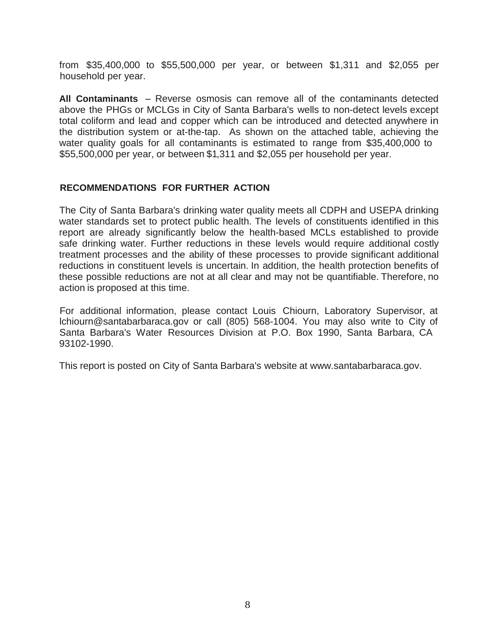from \$35,400,000 to \$55,500,000 per year, or between \$1,311 and \$2,055 per household per year.

All **Contaminants** - Reverse osmosis can remove all of the contaminants detected above the PHGs or MCLGs in City of Santa Barbara's wells to non-detect levels except total coliform and lead and copper which can be introduced and detected anywhere in the distribution system or at-the-tap. As shown on the attached table, achieving the water quality goals for all contaminants is estimated to range from \$35,400,000 to \$55,500,000 per year, or between \$1,311 and \$2,055 per household per year.

#### **RECOMMENDATIONS FOR FURTHER ACTION**

The City of Santa Barbara's drinking water quality meets all CDPH and USEPA drinking water standards set to protect public health. The levels of constituents identified in this report are already significantly below the health-based MCLs established to provide safe drinking water. Further reductions in these levels would require additional costly treatment processes and the ability of these processes to provide significant additional reductions in constituent levels is uncertain. In addition, the health protection benefits of these possible reductions are not at all clear and may not be quantifiable. Therefore, no action is proposed at this time.

For additional information, please contact Louis Chiourn, Laboratory Supervisor, a[t](mailto:lchiourn@santabarbaraca.gov) [lchiourn@santabarbaraca.gov](mailto:lchiourn@santabarbaraca.gov) or call (805) 568-1004. You may also write to City of Santa Barbara's Water Resources Division at P.O. Box 1990, Santa Barbara, CA 93102-1990.

This report is posted on City of Santa Barbara's website at [www.santabarbaraca.gov.](http://www.santabarbaraca.gov/)